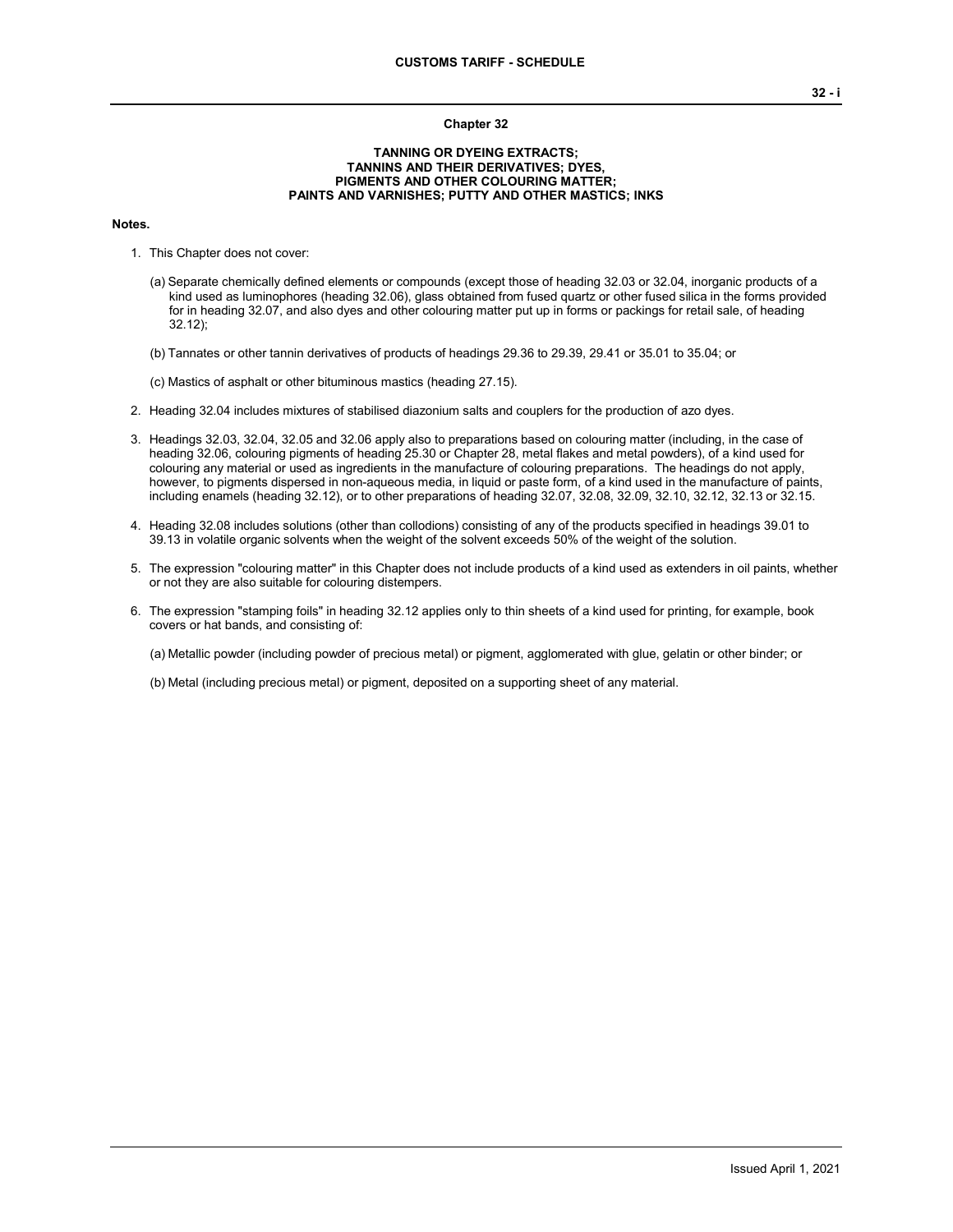## **Chapter 32**

## **TANNING OR DYEING EXTRACTS; TANNINS AND THEIR DERIVATIVES; DYES, PIGMENTS AND OTHER COLOURING MATTER; PAINTS AND VARNISHES; PUTTY AND OTHER MASTICS; INKS**

#### **Notes.**

- 1. This Chapter does not cover:
	- (a) Separate chemically defined elements or compounds (except those of heading 32.03 or 32.04, inorganic products of a kind used as luminophores (heading 32.06), glass obtained from fused quartz or other fused silica in the forms provided for in heading 32.07, and also dyes and other colouring matter put up in forms or packings for retail sale, of heading 32.12);
	- (b) Tannates or other tannin derivatives of products of headings 29.36 to 29.39, 29.41 or 35.01 to 35.04; or

(c) Mastics of asphalt or other bituminous mastics (heading 27.15).

- 2. Heading 32.04 includes mixtures of stabilised diazonium salts and couplers for the production of azo dyes.
- 3. Headings 32.03, 32.04, 32.05 and 32.06 apply also to preparations based on colouring matter (including, in the case of heading 32.06, colouring pigments of heading 25.30 or Chapter 28, metal flakes and metal powders), of a kind used for colouring any material or used as ingredients in the manufacture of colouring preparations. The headings do not apply, however, to pigments dispersed in non-aqueous media, in liquid or paste form, of a kind used in the manufacture of paints, including enamels (heading 32.12), or to other preparations of heading 32.07, 32.08, 32.09, 32.10, 32.12, 32.13 or 32.15.
- 4. Heading 32.08 includes solutions (other than collodions) consisting of any of the products specified in headings 39.01 to 39.13 in volatile organic solvents when the weight of the solvent exceeds 50% of the weight of the solution.
- 5. The expression "colouring matter" in this Chapter does not include products of a kind used as extenders in oil paints, whether or not they are also suitable for colouring distempers.
- 6. The expression "stamping foils" in heading 32.12 applies only to thin sheets of a kind used for printing, for example, book covers or hat bands, and consisting of:

(a) Metallic powder (including powder of precious metal) or pigment, agglomerated with glue, gelatin or other binder; or

(b) Metal (including precious metal) or pigment, deposited on a supporting sheet of any material.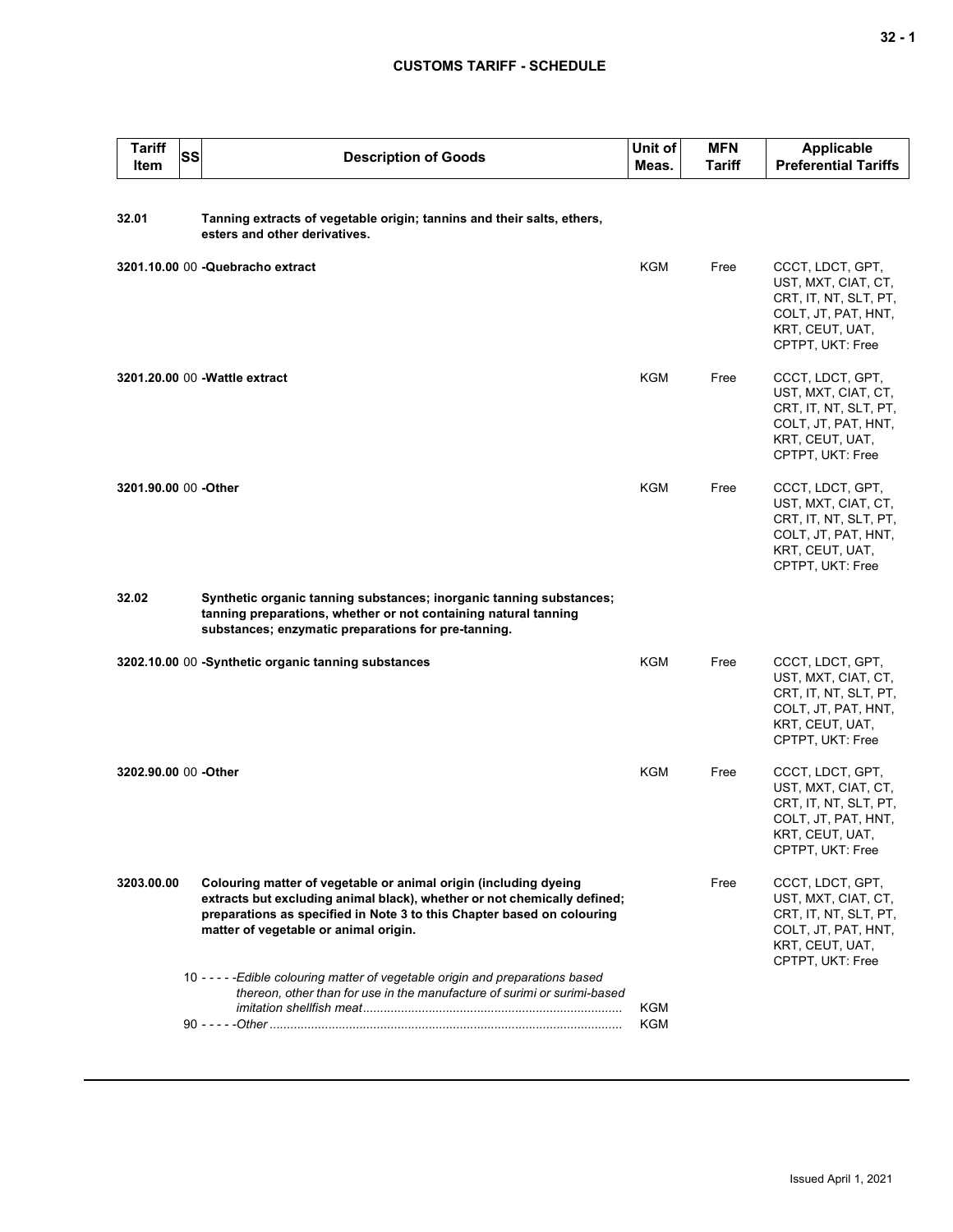# **CUSTOMS TARIFF - SCHEDULE**

| <b>Tariff</b><br>Item | <b>SS</b> | <b>Description of Goods</b>                                                                                                                                                                                                                                                                                                                        | Unit of<br>Meas. | <b>MFN</b><br>Tariff | <b>Applicable</b><br><b>Preferential Tariffs</b>                                                                               |
|-----------------------|-----------|----------------------------------------------------------------------------------------------------------------------------------------------------------------------------------------------------------------------------------------------------------------------------------------------------------------------------------------------------|------------------|----------------------|--------------------------------------------------------------------------------------------------------------------------------|
| 32.01                 |           | Tanning extracts of vegetable origin; tannins and their salts, ethers,<br>esters and other derivatives.                                                                                                                                                                                                                                            |                  |                      |                                                                                                                                |
|                       |           | 3201.10.00 00 - Quebracho extract                                                                                                                                                                                                                                                                                                                  | KGM              | Free                 | CCCT, LDCT, GPT,<br>UST, MXT, CIAT, CT,<br>CRT, IT, NT, SLT, PT,<br>COLT, JT, PAT, HNT,<br>KRT, CEUT, UAT,<br>CPTPT, UKT: Free |
|                       |           | 3201.20.00 00 - Wattle extract                                                                                                                                                                                                                                                                                                                     | <b>KGM</b>       | Free                 | CCCT, LDCT, GPT,<br>UST, MXT, CIAT, CT,<br>CRT, IT, NT, SLT, PT,<br>COLT, JT, PAT, HNT,<br>KRT, CEUT, UAT,<br>CPTPT, UKT: Free |
| 3201.90.00 00 -Other  |           |                                                                                                                                                                                                                                                                                                                                                    | <b>KGM</b>       | Free                 | CCCT, LDCT, GPT,<br>UST, MXT, CIAT, CT,<br>CRT, IT, NT, SLT, PT,<br>COLT, JT, PAT, HNT,<br>KRT, CEUT, UAT,<br>CPTPT, UKT: Free |
| 32.02                 |           | Synthetic organic tanning substances; inorganic tanning substances;<br>tanning preparations, whether or not containing natural tanning<br>substances; enzymatic preparations for pre-tanning.                                                                                                                                                      |                  |                      |                                                                                                                                |
|                       |           | 3202.10.00 00 -Synthetic organic tanning substances                                                                                                                                                                                                                                                                                                | <b>KGM</b>       | Free                 | CCCT, LDCT, GPT,<br>UST, MXT, CIAT, CT,<br>CRT, IT, NT, SLT, PT,<br>COLT, JT, PAT, HNT,<br>KRT, CEUT, UAT,<br>CPTPT, UKT: Free |
| 3202.90.00 00 -Other  |           |                                                                                                                                                                                                                                                                                                                                                    | <b>KGM</b>       | Free                 | CCCT, LDCT, GPT,<br>UST, MXT, CIAT, CT,<br>CRT, IT, NT, SLT, PT,<br>COLT, JT, PAT, HNT,<br>KRI, CEUI, UAI,<br>CPTPT, UKT: Free |
| 3203.00.00            |           | Colouring matter of vegetable or animal origin (including dyeing<br>extracts but excluding animal black), whether or not chemically defined;<br>preparations as specified in Note 3 to this Chapter based on colouring<br>matter of vegetable or animal origin.<br>10 - - - - - Edible colouring matter of vegetable origin and preparations based |                  | Free                 | CCCT, LDCT, GPT,<br>UST, MXT, CIAT, CT,<br>CRT, IT, NT, SLT, PT,<br>COLT, JT, PAT, HNT,<br>KRT, CEUT, UAT,<br>CPTPT, UKT: Free |
|                       |           | thereon, other than for use in the manufacture of surimi or surimi-based                                                                                                                                                                                                                                                                           | KGM<br>KGM       |                      |                                                                                                                                |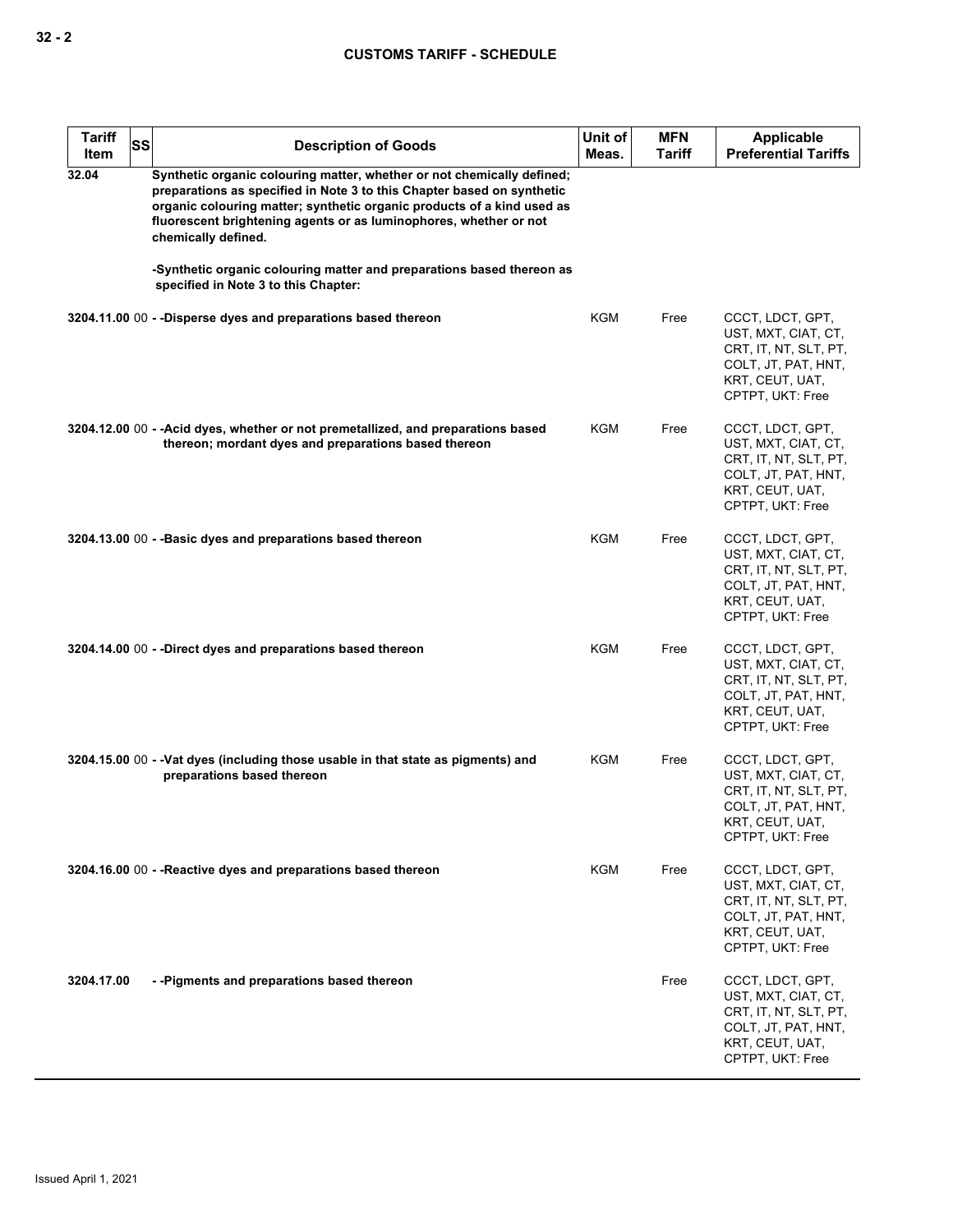| <b>Tariff</b><br>Item | SS | <b>Description of Goods</b>                                                                                                                                                                                                                                                                                            | Unit of<br>Meas. | <b>MFN</b><br>Tariff | Applicable<br><b>Preferential Tariffs</b>                                                                                      |
|-----------------------|----|------------------------------------------------------------------------------------------------------------------------------------------------------------------------------------------------------------------------------------------------------------------------------------------------------------------------|------------------|----------------------|--------------------------------------------------------------------------------------------------------------------------------|
| 32.04                 |    | Synthetic organic colouring matter, whether or not chemically defined;<br>preparations as specified in Note 3 to this Chapter based on synthetic<br>organic colouring matter; synthetic organic products of a kind used as<br>fluorescent brightening agents or as luminophores, whether or not<br>chemically defined. |                  |                      |                                                                                                                                |
|                       |    | -Synthetic organic colouring matter and preparations based thereon as<br>specified in Note 3 to this Chapter:                                                                                                                                                                                                          |                  |                      |                                                                                                                                |
|                       |    | 3204.11.00 00 - -Disperse dyes and preparations based thereon                                                                                                                                                                                                                                                          | KGM              | Free                 | CCCT, LDCT, GPT,<br>UST, MXT, CIAT, CT,<br>CRT, IT, NT, SLT, PT,<br>COLT, JT, PAT, HNT,<br>KRT, CEUT, UAT,<br>CPTPT, UKT: Free |
|                       |    | 3204.12.00 00 - - Acid dyes, whether or not premetallized, and preparations based<br>thereon; mordant dyes and preparations based thereon                                                                                                                                                                              | KGM              | Free                 | CCCT, LDCT, GPT,<br>UST, MXT, CIAT, CT,<br>CRT, IT, NT, SLT, PT,<br>COLT, JT, PAT, HNT,<br>KRT, CEUT, UAT,<br>CPTPT, UKT: Free |
|                       |    | 3204.13.00 00 - - Basic dyes and preparations based thereon                                                                                                                                                                                                                                                            | <b>KGM</b>       | Free                 | CCCT, LDCT, GPT,<br>UST, MXT, CIAT, CT,<br>CRT, IT, NT, SLT, PT,<br>COLT, JT, PAT, HNT,<br>KRT, CEUT, UAT,<br>CPTPT, UKT: Free |
|                       |    | 3204.14.00 00 - -Direct dyes and preparations based thereon                                                                                                                                                                                                                                                            | KGM              | Free                 | CCCT, LDCT, GPT,<br>UST, MXT, CIAT, CT,<br>CRT, IT, NT, SLT, PT,<br>COLT, JT, PAT, HNT,<br>KRT, CEUT, UAT,<br>CPTPT, UKT: Free |
|                       |    | 3204.15.00 00 - - Vat dyes (including those usable in that state as pigments) and<br>preparations based thereon                                                                                                                                                                                                        | KGM              | Free                 | CCCT, LDCT, GPT,<br>UST, MXT, CIAT, CT,<br>CRT, IT, NT, SLT, PT,<br>COLT, JT, PAT, HNT,<br>KRT, CEUT, UAT,<br>CPTPT, UKT: Free |
|                       |    | 3204.16.00 00 - - Reactive dyes and preparations based thereon                                                                                                                                                                                                                                                         | <b>KGM</b>       | Free                 | CCCT, LDCT, GPT,<br>UST, MXT, CIAT, CT,<br>CRT, IT, NT, SLT, PT,<br>COLT, JT, PAT, HNT,<br>KRT, CEUT, UAT,<br>CPTPT, UKT: Free |
| 3204.17.00            |    | --Pigments and preparations based thereon                                                                                                                                                                                                                                                                              |                  | Free                 | CCCT, LDCT, GPT,<br>UST, MXT, CIAT, CT,<br>CRT, IT, NT, SLT, PT,<br>COLT, JT, PAT, HNT,<br>KRT, CEUT, UAT,<br>CPTPT, UKT: Free |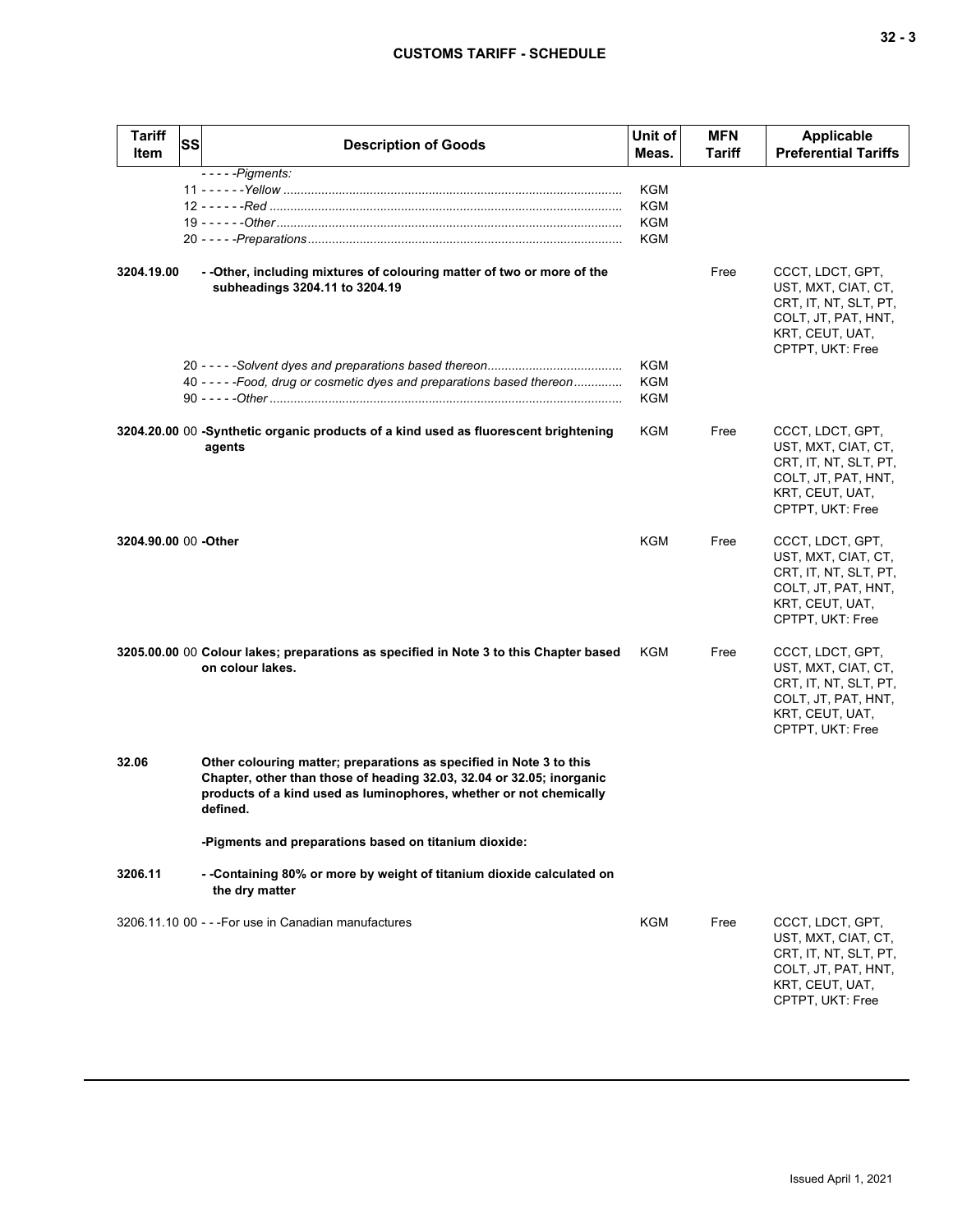| <b>Tariff</b><br>Item | <b>SS</b> | <b>Description of Goods</b>                                                                                                                                                                                                    | Unit of<br>Meas.         | <b>MFN</b><br>Tariff | <b>Applicable</b><br><b>Preferential Tariffs</b>                                                                               |
|-----------------------|-----------|--------------------------------------------------------------------------------------------------------------------------------------------------------------------------------------------------------------------------------|--------------------------|----------------------|--------------------------------------------------------------------------------------------------------------------------------|
|                       |           | $---Pigments:$                                                                                                                                                                                                                 | KGM<br>KGM<br>KGM<br>KGM |                      |                                                                                                                                |
| 3204.19.00            |           | - - Other, including mixtures of colouring matter of two or more of the<br>subheadings 3204.11 to 3204.19                                                                                                                      |                          | Free                 | CCCT, LDCT, GPT,<br>UST, MXT, CIAT, CT,<br>CRT, IT, NT, SLT, PT,<br>COLT, JT, PAT, HNT,<br>KRT, CEUT, UAT,<br>CPTPT, UKT: Free |
|                       |           | 40 - - - - - Food, drug or cosmetic dyes and preparations based thereon                                                                                                                                                        | KGM<br>KGM<br>KGM        |                      |                                                                                                                                |
|                       |           | 3204.20.00 00 -Synthetic organic products of a kind used as fluorescent brightening<br>agents                                                                                                                                  | KGM                      | Free                 | CCCT, LDCT, GPT,<br>UST, MXT, CIAT, CT,<br>CRT, IT, NT, SLT, PT,<br>COLT, JT, PAT, HNT,<br>KRT, CEUT, UAT,<br>CPTPT, UKT: Free |
| 3204.90.00 00 -Other  |           |                                                                                                                                                                                                                                | KGM                      | Free                 | CCCT, LDCT, GPT,<br>UST, MXT, CIAT, CT,<br>CRT, IT, NT, SLT, PT,<br>COLT, JT, PAT, HNT,<br>KRT, CEUT, UAT,<br>CPTPT, UKT: Free |
|                       |           | 3205.00.00 00 Colour lakes; preparations as specified in Note 3 to this Chapter based<br>on colour lakes.                                                                                                                      | KGM                      | Free                 | CCCT, LDCT, GPT,<br>UST, MXT, CIAT, CT,<br>CRT, IT, NT, SLT, PT,<br>COLT, JT, PAT, HNT,<br>KRT, CEUT, UAT,<br>CPTPT, UKT: Free |
| 32.06                 |           | Other colouring matter; preparations as specified in Note 3 to this<br>Chapter, other than those of heading 32.03, 32.04 or 32.05; inorganic<br>products of a kind used as luminophores, whether or not chemically<br>defined. |                          |                      |                                                                                                                                |
|                       |           | -Pigments and preparations based on titanium dioxide:                                                                                                                                                                          |                          |                      |                                                                                                                                |
| 3206.11               |           | - -Containing 80% or more by weight of titanium dioxide calculated on<br>the dry matter                                                                                                                                        |                          |                      |                                                                                                                                |
|                       |           | 3206.11.10 00 - - - For use in Canadian manufactures                                                                                                                                                                           | KGM                      | Free                 | CCCT, LDCT, GPT,<br>UST, MXT, CIAT, CT,<br>CRT, IT, NT, SLT, PT,<br>COLT, JT, PAT, HNT,<br>KRT, CEUT, UAT,                     |

CPTPT, UKT: Free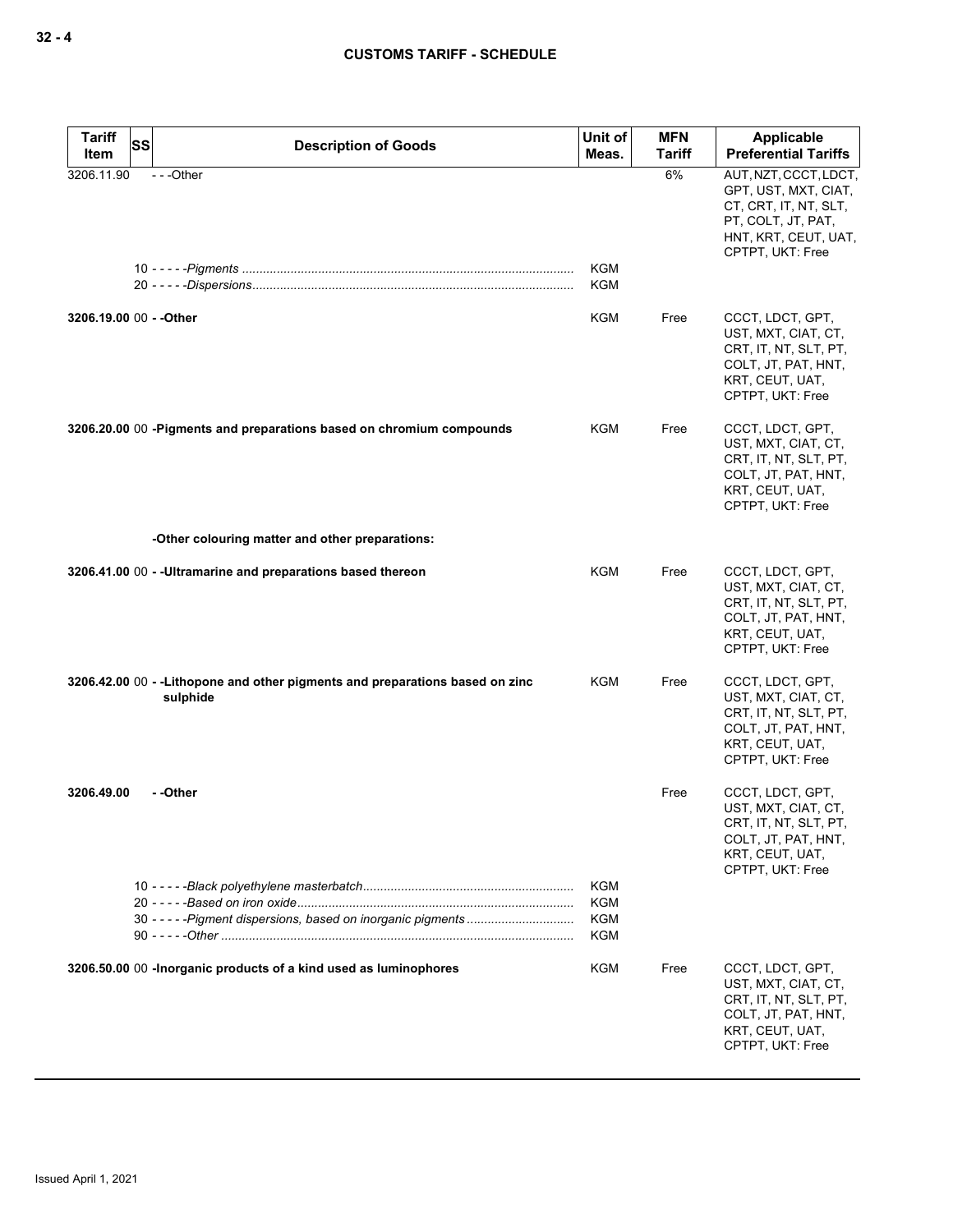| <b>Tariff</b><br>Item   | SS | <b>Description of Goods</b>                                                               | Unit of<br>Meas.         | <b>MFN</b><br><b>Tariff</b> | Applicable<br><b>Preferential Tariffs</b>                                                                                                |
|-------------------------|----|-------------------------------------------------------------------------------------------|--------------------------|-----------------------------|------------------------------------------------------------------------------------------------------------------------------------------|
| 3206.11.90              |    | $- -$ Other                                                                               | KGM<br>KGM               | 6%                          | AUT, NZT, CCCT, LDCT,<br>GPT, UST, MXT, CIAT,<br>CT, CRT, IT, NT, SLT,<br>PT, COLT, JT, PAT,<br>HNT, KRT, CEUT, UAT,<br>CPTPT, UKT: Free |
| 3206.19.00 00 - - Other |    |                                                                                           | KGM                      | Free                        | CCCT, LDCT, GPT,<br>UST, MXT, CIAT, CT,<br>CRT, IT, NT, SLT, PT,<br>COLT, JT, PAT, HNT,<br>KRT, CEUT, UAT,<br>CPTPT, UKT: Free           |
|                         |    | 3206.20.00 00 - Pigments and preparations based on chromium compounds                     | KGM                      | Free                        | CCCT, LDCT, GPT,<br>UST, MXT, CIAT, CT,<br>CRT, IT, NT, SLT, PT,<br>COLT, JT, PAT, HNT,<br>KRT, CEUT, UAT,<br>CPTPT, UKT: Free           |
|                         |    | -Other colouring matter and other preparations:                                           |                          |                             |                                                                                                                                          |
|                         |    | 3206.41.00 00 - - Ultramarine and preparations based thereon                              | <b>KGM</b>               | Free                        | CCCT, LDCT, GPT,<br>UST, MXT, CIAT, CT,<br>CRT, IT, NT, SLT, PT,<br>COLT, JT, PAT, HNT,<br>KRT, CEUT, UAT,<br>CPTPT, UKT: Free           |
|                         |    | 3206.42.00 00 - - Lithopone and other pigments and preparations based on zinc<br>sulphide | KGM                      | Free                        | CCCT, LDCT, GPT,<br>UST, MXT, CIAT, CT,<br>CRT, IT, NT, SLT, PT,<br>COLT, JT, PAT, HNT,<br>KRT, CEUT, UAT,<br>CPTPT, UKT: Free           |
| 3206.49.00              |    | - -Other                                                                                  |                          | Free                        | CCCT, LDCT, GPT,<br>UST, MXT, CIAT, CT,<br>CRT, IT, NT, SLT, PT,<br>COLT, JT, PAT, HNT,<br>KRT, CEUT, UAT,<br>CPTPT, UKT: Free           |
|                         |    | 30 - - - - - Pigment dispersions, based on inorganic pigments                             | KGM<br>KGM<br>KGM<br>KGM |                             |                                                                                                                                          |
|                         |    | 3206.50.00 00 - Inorganic products of a kind used as luminophores                         | KGM                      | Free                        | CCCT, LDCT, GPT,<br>UST, MXT, CIAT, CT,<br>CRT, IT, NT, SLT, PT,<br>COLT, JT, PAT, HNT,<br>KRT, CEUT, UAT,<br>CPTPT, UKT: Free           |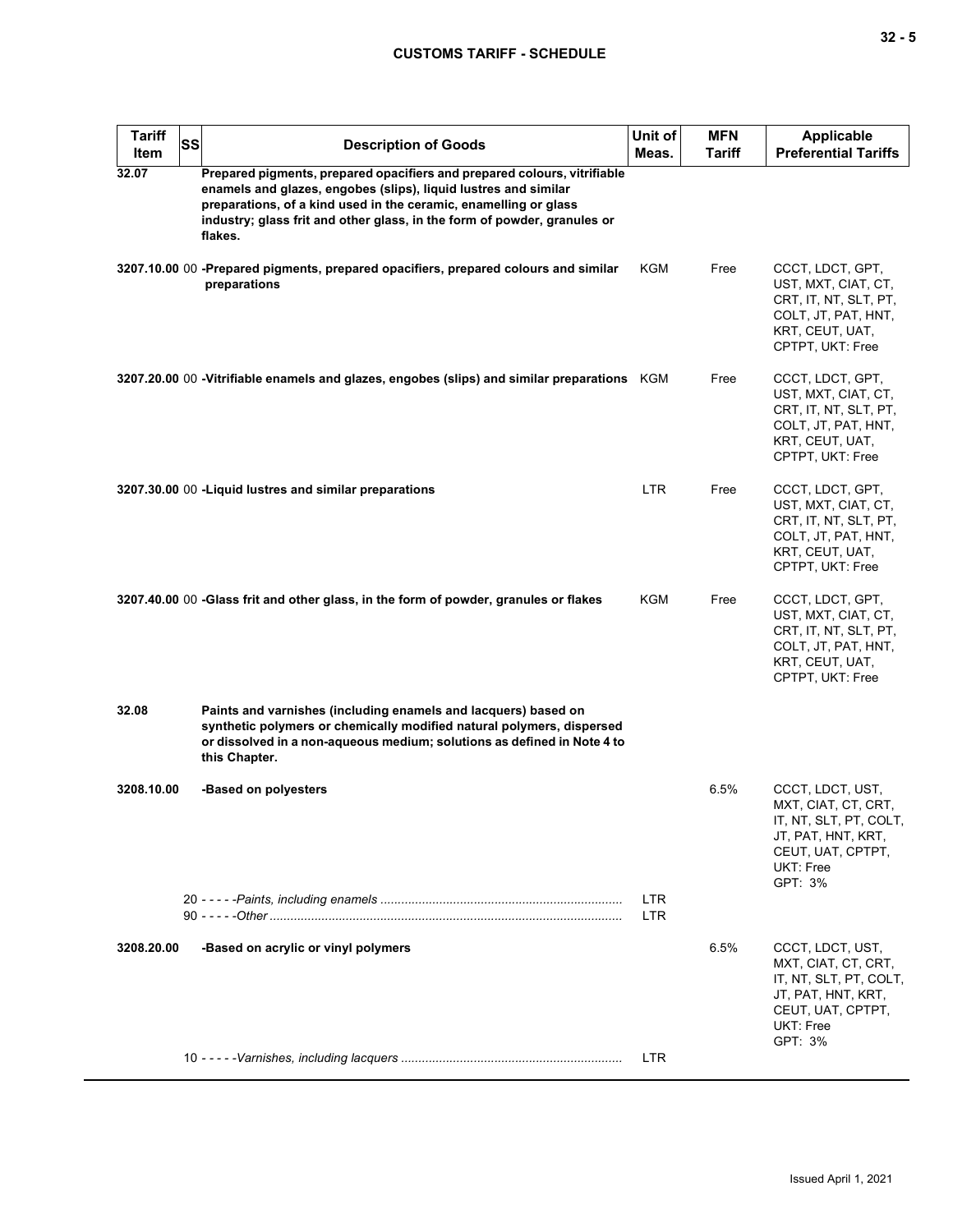## **CUSTOMS TARIFF - SCHEDULE**

| <b>Tariff</b><br><b>SS</b><br><b>Item</b> | <b>Description of Goods</b>                                                                                                                                                                                                                                                                            | Unit of<br>Meas.   | <b>MFN</b><br>Tariff | <b>Applicable</b><br><b>Preferential Tariffs</b>                                                                                     |
|-------------------------------------------|--------------------------------------------------------------------------------------------------------------------------------------------------------------------------------------------------------------------------------------------------------------------------------------------------------|--------------------|----------------------|--------------------------------------------------------------------------------------------------------------------------------------|
| 32.07                                     | Prepared pigments, prepared opacifiers and prepared colours, vitrifiable<br>enamels and glazes, engobes (slips), liquid lustres and similar<br>preparations, of a kind used in the ceramic, enamelling or glass<br>industry; glass frit and other glass, in the form of powder, granules or<br>flakes. |                    |                      |                                                                                                                                      |
|                                           | 3207.10.00 00 -Prepared pigments, prepared opacifiers, prepared colours and similar<br>preparations                                                                                                                                                                                                    | KGM                | Free                 | CCCT, LDCT, GPT,<br>UST, MXT, CIAT, CT,<br>CRT, IT, NT, SLT, PT,<br>COLT, JT, PAT, HNT,<br>KRT, CEUT, UAT,<br>CPTPT, UKT: Free       |
|                                           | 3207.20.00 00 -Vitrifiable enamels and glazes, engobes (slips) and similar preparations KGM                                                                                                                                                                                                            |                    | Free                 | CCCT, LDCT, GPT,<br>UST, MXT, CIAT, CT,<br>CRT, IT, NT, SLT, PT,<br>COLT, JT, PAT, HNT,<br>KRT, CEUT, UAT,<br>CPTPT, UKT: Free       |
|                                           | 3207.30.00 00 - Liquid lustres and similar preparations                                                                                                                                                                                                                                                | LTR.               | Free                 | CCCT, LDCT, GPT,<br>UST, MXT, CIAT, CT,<br>CRT, IT, NT, SLT, PT,<br>COLT, JT, PAT, HNT,<br>KRT, CEUT, UAT,<br>CPTPT, UKT: Free       |
|                                           | 3207.40.00 00 -Glass frit and other glass, in the form of powder, granules or flakes                                                                                                                                                                                                                   | KGM                | Free                 | CCCT, LDCT, GPT,<br>UST, MXT, CIAT, CT,<br>CRT, IT, NT, SLT, PT,<br>COLT, JT, PAT, HNT,<br>KRT, CEUT, UAT,<br>CPTPT, UKT: Free       |
| 32.08                                     | Paints and varnishes (including enamels and lacquers) based on<br>synthetic polymers or chemically modified natural polymers, dispersed<br>or dissolved in a non-aqueous medium; solutions as defined in Note 4 to<br>this Chapter.                                                                    |                    |                      |                                                                                                                                      |
| 3208.10.00                                | -Based on polyesters                                                                                                                                                                                                                                                                                   |                    | 6.5%                 | CCCT, LDCT, UST,<br>MXT, CIAT, CT, CRT,<br>IT, NT, SLT, PT, COLT,<br>JT, PAT, HNT, KRT,<br>CEUT, UAT, CPTPT,<br>UKT: Free<br>GPT: 3% |
|                                           |                                                                                                                                                                                                                                                                                                        | <b>LTR</b><br>LTR. |                      |                                                                                                                                      |
| 3208.20.00                                | -Based on acrylic or vinyl polymers                                                                                                                                                                                                                                                                    |                    | 6.5%                 | CCCT, LDCT, UST,<br>MXT, CIAT, CT, CRT,<br>IT, NT, SLT, PT, COLT,<br>JT, PAT, HNT, KRT,<br>CEUT, UAT, CPTPT,<br>UKT: Free<br>GPT: 3% |
|                                           |                                                                                                                                                                                                                                                                                                        | LTR.               |                      |                                                                                                                                      |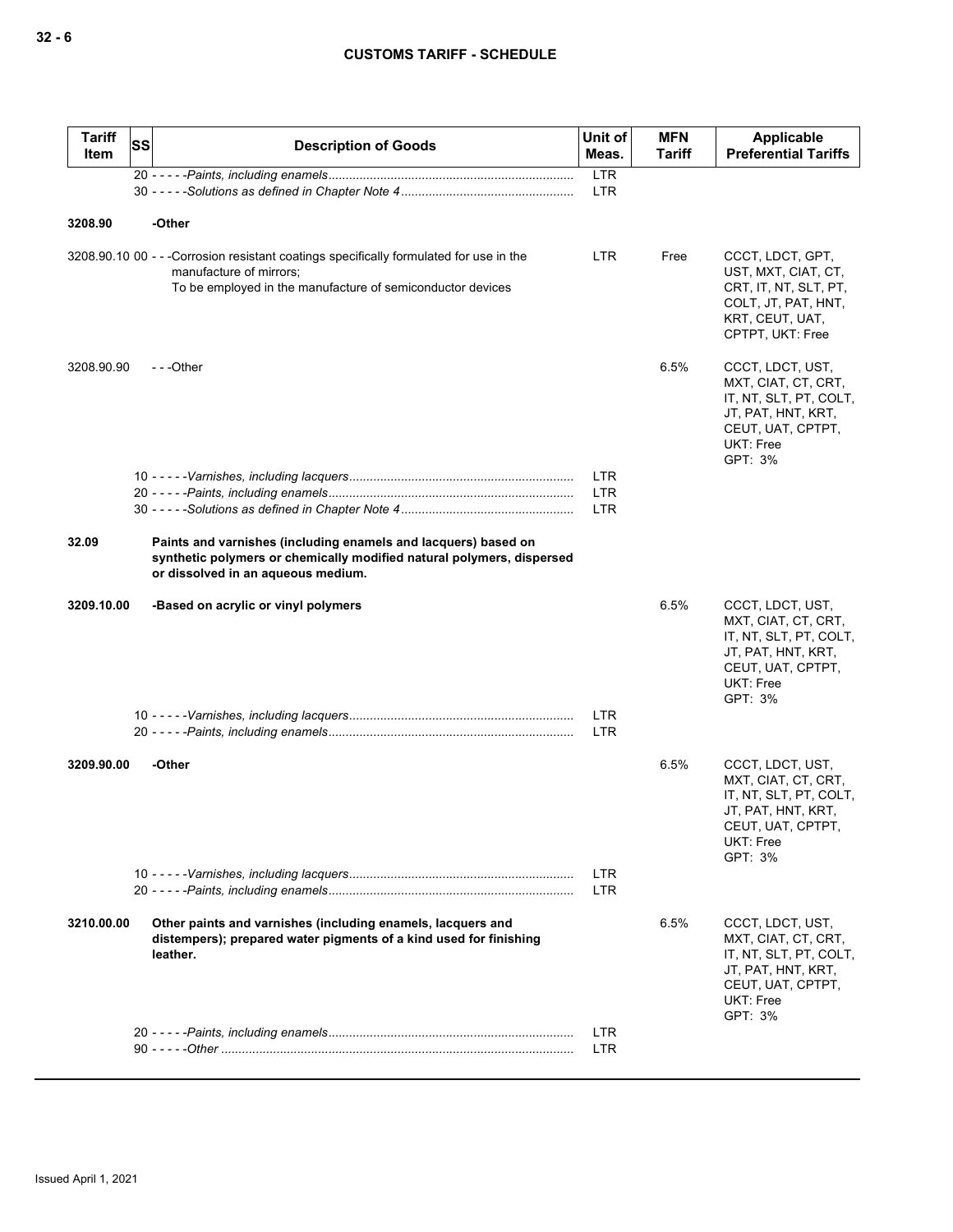| <b>Tariff</b><br>Item | SS | <b>Description of Goods</b>                                                                                                                                                     | Unit of<br>Meas.         | <b>MFN</b><br>Tariff | Applicable<br><b>Preferential Tariffs</b>                                                                                                   |
|-----------------------|----|---------------------------------------------------------------------------------------------------------------------------------------------------------------------------------|--------------------------|----------------------|---------------------------------------------------------------------------------------------------------------------------------------------|
|                       |    |                                                                                                                                                                                 | <b>LTR</b>               |                      |                                                                                                                                             |
|                       |    |                                                                                                                                                                                 | <b>LTR</b>               |                      |                                                                                                                                             |
| 3208.90               |    | -Other                                                                                                                                                                          |                          |                      |                                                                                                                                             |
|                       |    | 3208.90.10 00 - - -Corrosion resistant coatings specifically formulated for use in the<br>manufacture of mirrors;<br>To be employed in the manufacture of semiconductor devices | LTR.                     | Free                 | CCCT, LDCT, GPT,<br>UST, MXT, CIAT, CT,<br>CRT, IT, NT, SLT, PT,<br>COLT, JT, PAT, HNT,<br>KRT, CEUT, UAT,<br>CPTPT, UKT: Free              |
| 3208.90.90            |    | ---Other                                                                                                                                                                        |                          | 6.5%                 | CCCT, LDCT, UST,<br>MXT, CIAT, CT, CRT,<br>IT, NT, SLT, PT, COLT,<br>JT, PAT, HNT, KRT,<br>CEUT, UAT, CPTPT,<br><b>UKT: Free</b><br>GPT: 3% |
|                       |    |                                                                                                                                                                                 | <b>LTR</b>               |                      |                                                                                                                                             |
|                       |    |                                                                                                                                                                                 | <b>LTR</b><br><b>LTR</b> |                      |                                                                                                                                             |
|                       |    |                                                                                                                                                                                 |                          |                      |                                                                                                                                             |
| 32.09                 |    | Paints and varnishes (including enamels and lacquers) based on<br>synthetic polymers or chemically modified natural polymers, dispersed<br>or dissolved in an aqueous medium.   |                          |                      |                                                                                                                                             |
| 3209.10.00            |    | -Based on acrylic or vinyl polymers                                                                                                                                             |                          | 6.5%                 | CCCT, LDCT, UST,<br>MXT, CIAT, CT, CRT,<br>IT, NT, SLT, PT, COLT,<br>JT, PAT, HNT, KRT,<br>CEUT, UAT, CPTPT,<br><b>UKT: Free</b><br>GPT: 3% |
|                       |    |                                                                                                                                                                                 | <b>LTR</b><br><b>LTR</b> |                      |                                                                                                                                             |
|                       |    |                                                                                                                                                                                 |                          |                      |                                                                                                                                             |
| 3209.90.00            |    | -Other                                                                                                                                                                          |                          | 6.5%                 | CCCT, LDCT, UST,<br>MXT, CIAT, CT, CRT,<br>IT, NT, SLT, PT, COLT,<br>JT, PAT, HNT, KRT,<br>CEUT, UAT, CPTPT,<br>UKT: Free<br>GPT: 3%        |
|                       |    |                                                                                                                                                                                 | <b>LTR</b><br><b>LTR</b> |                      |                                                                                                                                             |
| 3210.00.00            |    | Other paints and varnishes (including enamels, lacquers and<br>distempers); prepared water pigments of a kind used for finishing<br>leather.                                    |                          | 6.5%                 | CCCT, LDCT, UST,<br>MXT, CIAT, CT, CRT,<br>IT, NT, SLT, PT, COLT,<br>JT, PAT, HNT, KRT,<br>CEUT, UAT, CPTPT,<br>UKT: Free<br>GPT: 3%        |
|                       |    |                                                                                                                                                                                 | <b>LTR</b>               |                      |                                                                                                                                             |
|                       |    |                                                                                                                                                                                 | <b>LTR</b>               |                      |                                                                                                                                             |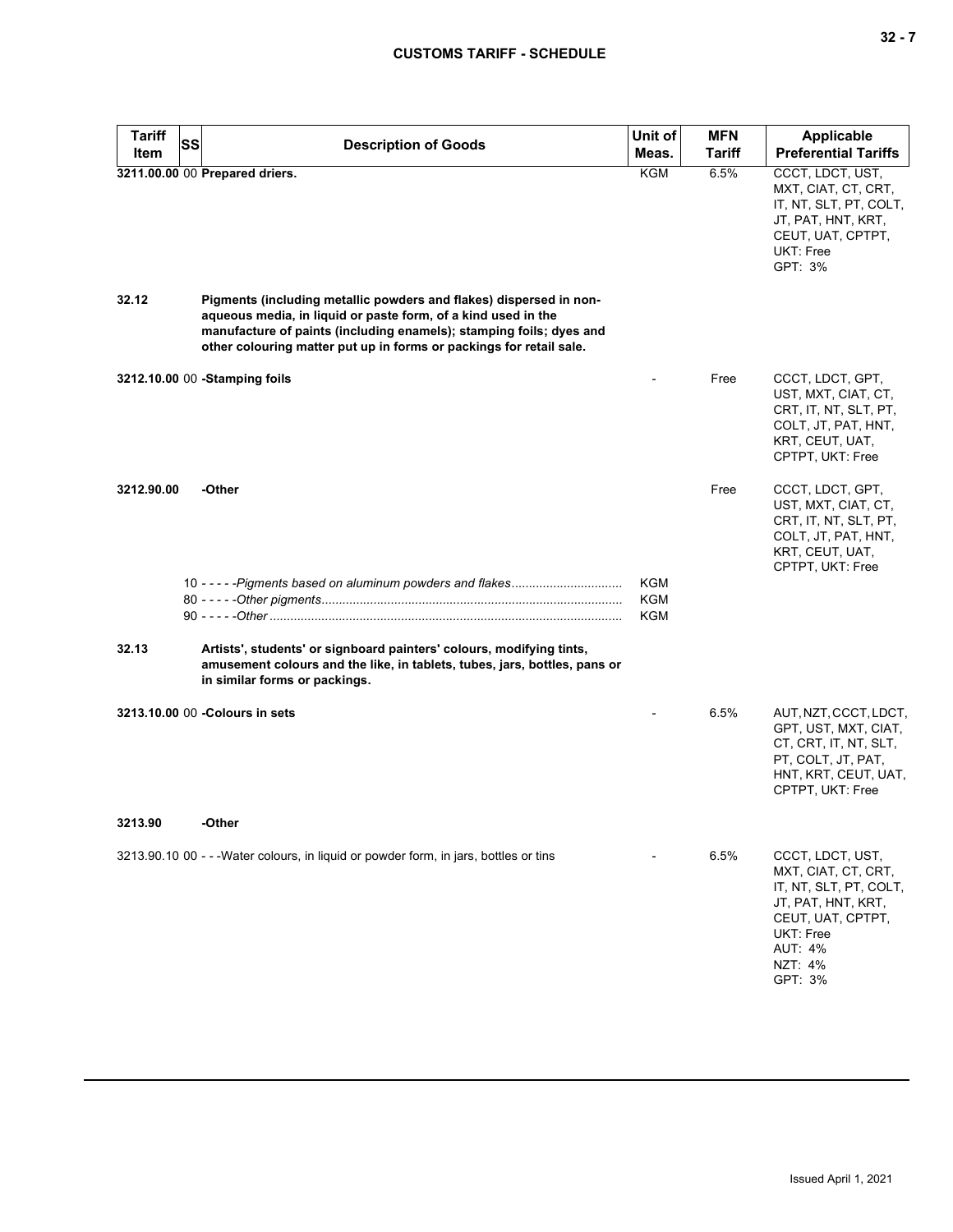| <b>Tariff</b><br><b>SS</b> | <b>Description of Goods</b>                                                                                                                                                                                                                                                       | Unit of                         | <b>MFN</b>    | <b>Applicable</b>                                                                                                                                                 |
|----------------------------|-----------------------------------------------------------------------------------------------------------------------------------------------------------------------------------------------------------------------------------------------------------------------------------|---------------------------------|---------------|-------------------------------------------------------------------------------------------------------------------------------------------------------------------|
| <b>Item</b>                |                                                                                                                                                                                                                                                                                   | Meas.                           | <b>Tariff</b> | <b>Preferential Tariffs</b>                                                                                                                                       |
|                            | 3211.00.00 00 Prepared driers.                                                                                                                                                                                                                                                    | <b>KGM</b>                      | 6.5%          | CCCT, LDCT, UST,<br>MXT, CIAT, CT, CRT,<br>IT, NT, SLT, PT, COLT,<br>JT, PAT, HNT, KRT,<br>CEUT, UAT, CPTPT,<br>UKT: Free<br>GPT: 3%                              |
| 32.12                      | Pigments (including metallic powders and flakes) dispersed in non-<br>aqueous media, in liquid or paste form, of a kind used in the<br>manufacture of paints (including enamels); stamping foils; dyes and<br>other colouring matter put up in forms or packings for retail sale. |                                 |               |                                                                                                                                                                   |
|                            | 3212.10.00 00 -Stamping foils                                                                                                                                                                                                                                                     |                                 | Free          | CCCT, LDCT, GPT,<br>UST, MXT, CIAT, CT,<br>CRT, IT, NT, SLT, PT,<br>COLT, JT, PAT, HNT,<br>KRT, CEUT, UAT,<br>CPTPT, UKT: Free                                    |
| 3212.90.00                 | -Other                                                                                                                                                                                                                                                                            |                                 | Free          | CCCT, LDCT, GPT,<br>UST, MXT, CIAT, CT,<br>CRT, IT, NT, SLT, PT,<br>COLT, JT, PAT, HNT,<br>KRT, CEUT, UAT,<br>CPTPT, UKT: Free                                    |
|                            |                                                                                                                                                                                                                                                                                   | <b>KGM</b><br><b>KGM</b><br>KGM |               |                                                                                                                                                                   |
| 32.13                      | Artists', students' or signboard painters' colours, modifying tints,<br>amusement colours and the like, in tablets, tubes, jars, bottles, pans or<br>in similar forms or packings.                                                                                                |                                 |               |                                                                                                                                                                   |
|                            | 3213.10.00 00 - Colours in sets                                                                                                                                                                                                                                                   |                                 | 6.5%          | AUT, NZT, CCCT, LDCT,<br>GPT, UST, MXT, CIAT,<br>CT, CRT, IT, NT, SLT,<br>PT, COLT, JT, PAT,<br>HNT, KRT, CEUT, UAT,<br>CPTPT, UKT: Free                          |
| 3213.90                    | -Other                                                                                                                                                                                                                                                                            |                                 |               |                                                                                                                                                                   |
|                            | 3213.90.10 00 - - - Water colours, in liquid or powder form, in jars, bottles or tins                                                                                                                                                                                             |                                 | 6.5%          | CCCT, LDCT, UST,<br>MXT, CIAT, CT, CRT,<br>IT, NT, SLT, PT, COLT,<br>JT, PAT, HNT, KRT,<br>CEUT, UAT, CPTPT,<br>UKT: Free<br><b>AUT: 4%</b><br>NZT: 4%<br>GPT: 3% |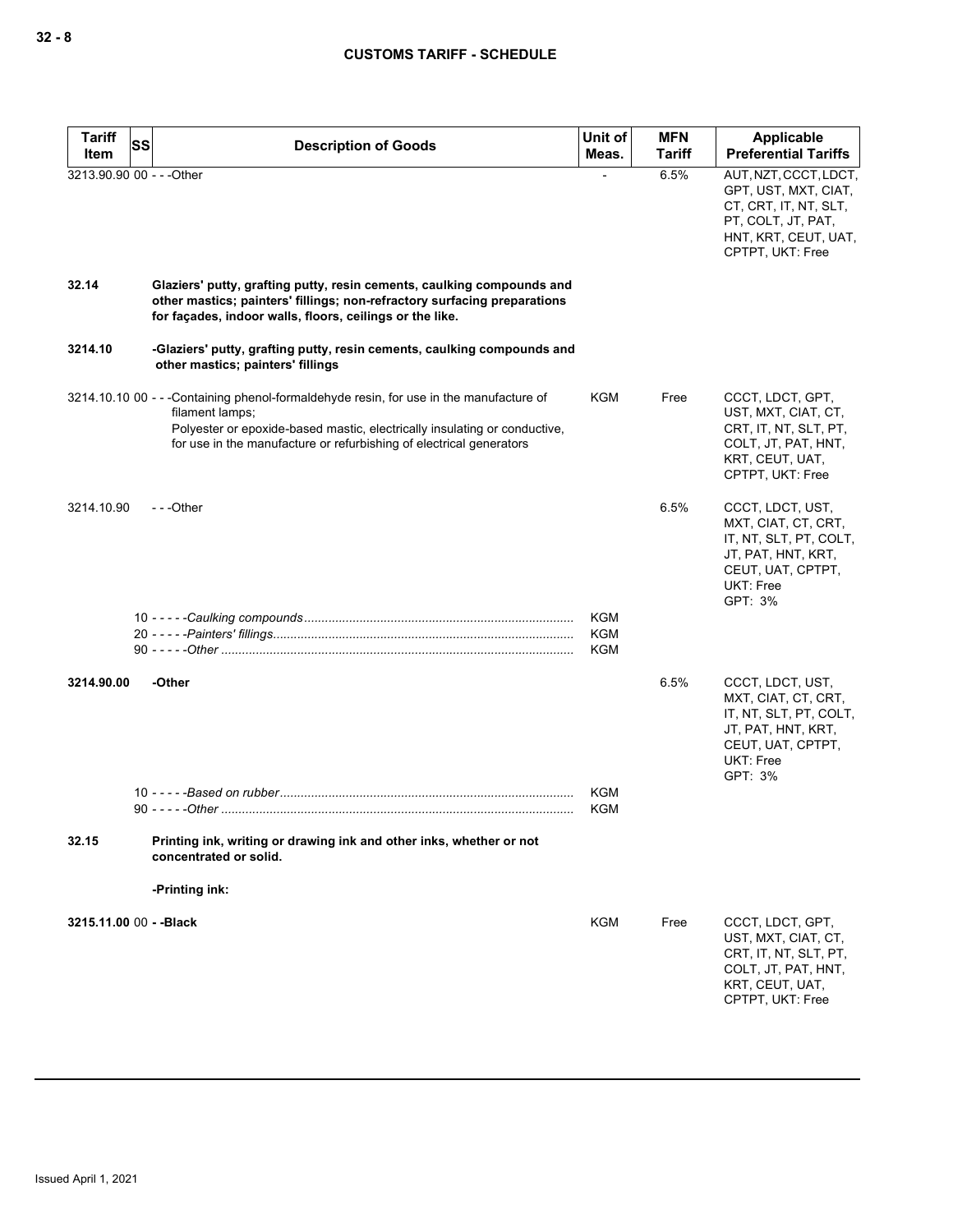| <b>Tariff</b><br>Item | SS<br><b>Description of Goods</b>                                                                                                                                                                                                                             | Unit of<br>Meas.  | <b>MFN</b><br>Tariff | Applicable<br><b>Preferential Tariffs</b>                                                                                                |
|-----------------------|---------------------------------------------------------------------------------------------------------------------------------------------------------------------------------------------------------------------------------------------------------------|-------------------|----------------------|------------------------------------------------------------------------------------------------------------------------------------------|
|                       | 3213.90.90 00 - - - Other                                                                                                                                                                                                                                     |                   | 6.5%                 | AUT, NZT, CCCT, LDCT,<br>GPT, UST, MXT, CIAT,<br>CT, CRT, IT, NT, SLT,<br>PT, COLT, JT, PAT,<br>HNT, KRT, CEUT, UAT,<br>CPTPT, UKT: Free |
| 32.14                 | Glaziers' putty, grafting putty, resin cements, caulking compounds and<br>other mastics; painters' fillings; non-refractory surfacing preparations<br>for façades, indoor walls, floors, ceilings or the like.                                                |                   |                      |                                                                                                                                          |
| 3214.10               | -Glaziers' putty, grafting putty, resin cements, caulking compounds and<br>other mastics; painters' fillings                                                                                                                                                  |                   |                      |                                                                                                                                          |
|                       | 3214.10.10 00 - - -Containing phenol-formaldehyde resin, for use in the manufacture of<br>filament lamps;<br>Polyester or epoxide-based mastic, electrically insulating or conductive,<br>for use in the manufacture or refurbishing of electrical generators | KGM               | Free                 | CCCT, LDCT, GPT,<br>UST, MXT, CIAT, CT,<br>CRT, IT, NT, SLT, PT,<br>COLT, JT, PAT, HNT,<br>KRT, CEUT, UAT,<br>CPTPT, UKT: Free           |
| 3214.10.90            | $- -$ Other                                                                                                                                                                                                                                                   |                   | 6.5%                 | CCCT, LDCT, UST,<br>MXT, CIAT, CT, CRT,<br>IT, NT, SLT, PT, COLT,<br>JT, PAT, HNT, KRT,<br>CEUT, UAT, CPTPT,<br>UKT: Free<br>GPT: 3%     |
|                       |                                                                                                                                                                                                                                                               | KGM<br>KGM<br>KGM |                      |                                                                                                                                          |
| 3214.90.00            | -Other                                                                                                                                                                                                                                                        |                   | 6.5%                 | CCCT, LDCT, UST,<br>MXT, CIAT, CT, CRT,<br>IT, NT, SLT, PT, COLT,<br>JT, PAT, HNT, KRT,<br>CEUT, UAT, CPTPT,<br>UKT: Free<br>GPT: 3%     |
|                       |                                                                                                                                                                                                                                                               | <b>KGM</b><br>KGM |                      |                                                                                                                                          |
| 32.15                 | Printing ink, writing or drawing ink and other inks, whether or not<br>concentrated or solid.                                                                                                                                                                 |                   |                      |                                                                                                                                          |
|                       | -Printing ink:                                                                                                                                                                                                                                                |                   |                      |                                                                                                                                          |
|                       | 3215.11.00 00 - - Black                                                                                                                                                                                                                                       | KGM               | Free                 | CCCT, LDCT, GPT,<br>UST, MXT, CIAT, CT,<br>CRT, IT, NT, SLT, PT,<br>COLT, JT, PAT, HNT,<br>KRT, CEUT, UAT,<br>CPTPT, UKT: Free           |